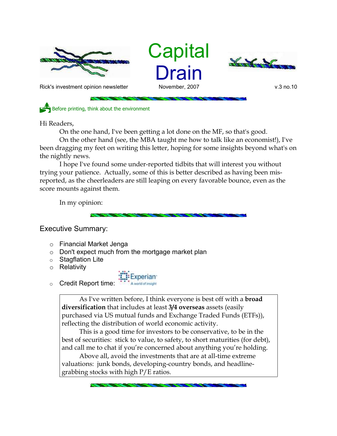

**Capital** Drain



Rick's investment opinion newsletter November, 2007 and November, 2007 v.3 no.10

Before printing, think about the environment

Hi Readers,

On the one hand, I've been getting a lot done on the MF, so that's good.

On the other hand (see, the MBA taught me how to talk like an economist!), I've been dragging my feet on writing this letter, hoping for some insights beyond what's on the nightly news.

I hope I've found some under-reported tidbits that will interest you without trying your patience. Actually, some of this is better described as having been misreported, as the cheerleaders are still leaping on every favorable bounce, even as the score mounts against them.

In my opinion:

Executive Summary:

- o Financial Market Jenga
- o Don't expect much from the mortgage market plan
- o Stagflation Lite
- o Relativity



As I've written before, I think everyone is best off with a **broad diversification** that includes at least **3/4 overseas** assets (easily purchased via US mutual funds and Exchange Traded Funds (ETFs)), reflecting the distribution of world economic activity.

This is a good time for investors to be conservative, to be in the best of securities: stick to value, to safety, to short maturities (for debt), and call me to chat if you're concerned about anything you're holding.

Above all, avoid the investments that are at all-time extreme valuations: junk bonds, developing-country bonds, and headlinegrabbing stocks with high P/E ratios.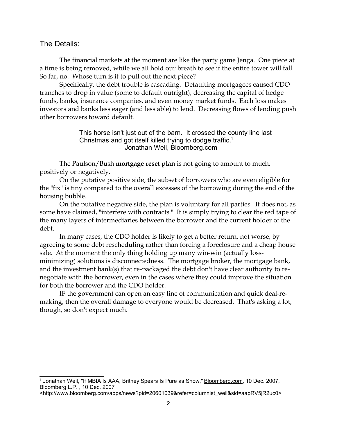### The Details:

The financial markets at the moment are like the party game Jenga. One piece at a time is being removed, while we all hold our breath to see if the entire tower will fall. So far, no. Whose turn is it to pull out the next piece?

Specifically, the debt trouble is cascading. Defaulting mortgagees caused CDO tranches to drop in value (some to default outright), decreasing the capital of hedge funds, banks, insurance companies, and even money market funds. Each loss makes investors and banks less eager (and less able) to lend. Decreasing flows of lending push other borrowers toward default.

> This horse isn't just out of the barn. It crossed the county line last Christmas and got itself killed trying to dodge traffic.<sup>1</sup> - Jonathan Weil, Bloomberg.com

The Paulson/Bush **mortgage reset plan** is not going to amount to much, positively or negatively.

On the putative positive side, the subset of borrowers who are even eligible for the "fix" is tiny compared to the overall excesses of the borrowing during the end of the housing bubble.

On the putative negative side, the plan is voluntary for all parties. It does not, as some have claimed, "interfere with contracts." It is simply trying to clear the red tape of the many layers of intermediaries between the borrower and the current holder of the debt.

In many cases, the CDO holder is likely to get a better return, not worse, by agreeing to some debt rescheduling rather than forcing a foreclosure and a cheap house sale. At the moment the only thing holding up many win-win (actually lossminimizing) solutions is disconnectedness. The mortgage broker, the mortgage bank, and the investment bank(s) that re-packaged the debt don't have clear authority to renegotiate with the borrower, even in the cases where they could improve the situation for both the borrower and the CDO holder.

IF the government can open an easy line of communication and quick deal-remaking, then the overall damage to everyone would be decreased. That's asking a lot, though, so don't expect much.

<sup>&</sup>lt;sup>1</sup> Jonathan Weil, "If MBIA Is AAA, Britney Spears Is Pure as Snow," <u>Bloomberg.com,</u> 10 Dec. 2007, Bloomberg L.P. , 10 Dec. 2007

<sup>&</sup>lt;http://www.bloomberg.com/apps/news?pid=20601039&refer=columnist\_weil&sid=aapRV5jR2uc0>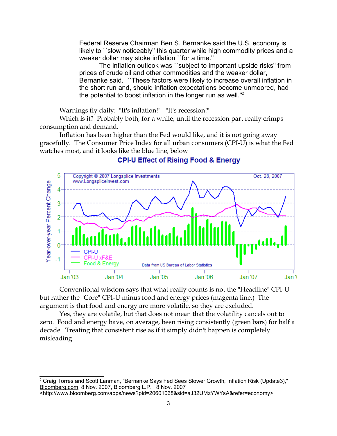Federal Reserve Chairman Ben S. Bernanke said the U.S. economy is likely to ``slow noticeably'' this quarter while high commodity prices and a weaker dollar may stoke inflation "for a time."

The inflation outlook was ``subject to important upside risks'' from prices of crude oil and other commodities and the weaker dollar, Bernanke said. ``These factors were likely to increase overall inflation in the short run and, should inflation expectations become unmoored, had the potential to boost inflation in the longer run as well.''<sup>2</sup>

Warnings fly daily: "It's inflation!" "It's recession!"

Which is it? Probably both, for a while, until the recession part really crimps consumption and demand.

Inflation has been higher than the Fed would like, and it is not going away gracefully. The Consumer Price Index for all urban consumers (CPI-U) is what the Fed watches most, and it looks like the blue line, below



# **CPI-U Effect of Rising Food & Energy**

Conventional wisdom says that what really counts is not the "Headline" CPI-U but rather the "Core" CPI-U minus food and energy prices (magenta line.) The argument is that food and energy are more volatile, so they are excluded.

Yes, they are volatile, but that does not mean that the volatility cancels out to zero. Food and energy have, on average, been rising consistently (green bars) for half a decade. Treating that consistent rise as if it simply didn't happen is completely misleading.

<sup>&</sup>lt;sup>2</sup> Craig Torres and Scott Lanman, "Bernanke Says Fed Sees Slower Growth, Inflation Risk (Update3)," Bloomberg.com, 8 Nov. 2007, Bloomberg L.P. , 8 Nov. 2007

<sup>&</sup>lt;http://www.bloomberg.com/apps/news?pid=20601068&sid=aJ32UMzYWYsA&refer=economy>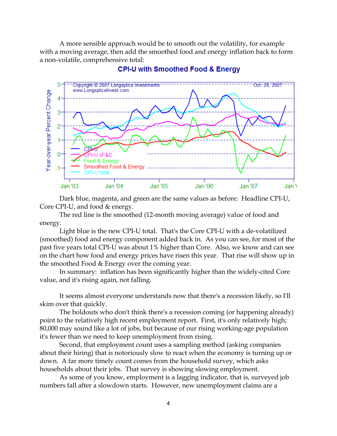A more sensible approach would be to smooth out the volatility, for example with a moving average, then add the smoothed food and energy inflation back to form a non-volatile, comprehensive total:



#### **CPI-U with Smoothed Food & Energy**

Dark blue, magenta, and green are the same values as before: Headline CPI-U, Core CPI-U, and food & energy.

The red line is the smoothed (12-month moving average) value of food and energy.

Light blue is the new CPI-U total. That's the Core CPI-U with a de-volatilized (smoothed) food and energy component added back in. As you can see, for most of the past five years total CPI-U was about 1% higher than Core. Also, we know and can see on the chart how food and energy prices have risen this year. That rise will show up in the smoothed Food & Energy over the coming year.

In summary: inflation has been significantly higher than the widely-cited Core value, and it's rising again, not falling.

It seems almost everyone understands now that there's a recession likely, so I'll skim over that quickly.

The holdouts who don't think there's a recession coming (or happening already) point to the relatively high recent employment report. First, it's only relatively high; 80,000 may sound like a lot of jobs, but because of our rising working-age population it's fewer than we need to keep unemployment from rising.

Second, that employment count uses a sampling method (asking companies about their hiring) that is notoriously slow to react when the economy is turning up or down. A far more timely count comes from the household survey, which asks households about their jobs. That survey is showing slowing employment.

As some of you know, employment is a lagging indicator, that is, surveyed job numbers fall after a slowdown starts. However, new unemployment claims are a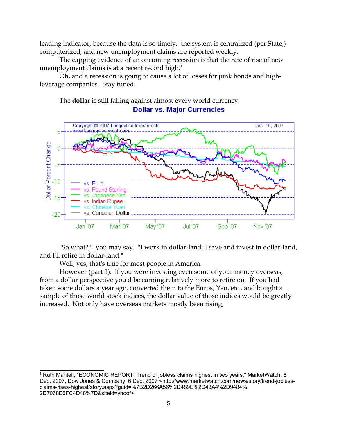leading indicator, because the data is so timely; the system is centralized (per State,) computerized, and new unemployment claims are reported weekly.

The capping evidence of an oncoming recession is that the rate of rise of new unemployment claims is at a recent record high.<sup>3</sup>

Oh, and a recession is going to cause a lot of losses for junk bonds and highleverage companies. Stay tuned.

The **dollar** is still falling against almost every world currency. **Dollar vs. Major Currencies** 



"So what?," you may say. "I work in dollar-land, I save and invest in dollar-land, and I'll retire in dollar-land."

Well, yes, that's true for most people in America.

However (part 1): if you were investing even some of your money overseas, from a dollar perspective you'd be earning relatively more to retire on. If you had taken some dollars a year ago, converted them to the Euros, Yen, etc., and bought a sample of those world stock indices, the dollar value of those indices would be greatly increased. Not only have overseas markets mostly been rising,

<sup>&</sup>lt;sup>3</sup> Ruth Mantell, "ECONOMIC REPORT: Trend of jobless claims highest in two years," MarketWatch, 6 Dec. 2007, Dow Jones & Company, 6 Dec. 2007 <http://www.marketwatch.com/news/story/trend-joblessclaims-rises-highest/story.aspx?guid=%7B2D266A56%2D489E%2D43A4%2D9484% 2D7068E6FC4D48%7D&siteid=yhoof>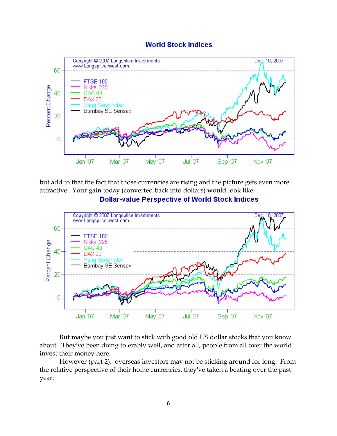## **World Stock Indices**



but add to that the fact that those currencies are rising and the picture gets even more attractive. Your gain today (converted back into dollars) would look like:





But maybe you just want to stick with good old US dollar stocks that you know about. They've been doing tolerably well, and after all, people from all over the world invest their money here.

However (part 2): overseas investors may not be sticking around for long. From the relative perspective of their home currencies, they've taken a beating over the past year: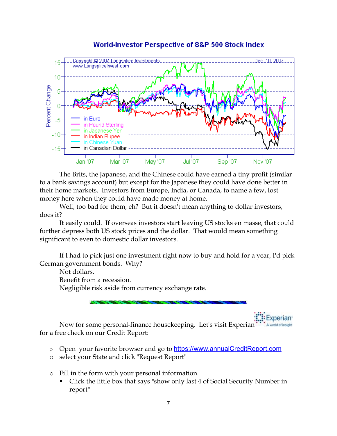

## **World-investor Perspective of S&P 500 Stock Index**

The Brits, the Japanese, and the Chinese could have earned a tiny profit (similar to a bank savings account) but except for the Japanese they could have done better in their home markets. Investors from Europe, India, or Canada, to name a few, lost money here when they could have made money at home.

Well, too bad for them, eh? But it doesn't mean anything to dollar investors, does it?

It easily could. If overseas investors start leaving US stocks en masse, that could further depress both US stock prices and the dollar. That would mean something significant to even to domestic dollar investors.

If I had to pick just one investment right now to buy and hold for a year, I'd pick German government bonds. Why?

Not dollars.

Benefit from a recession.

Negligible risk aside from currency exchange rate.

Now for some personal-finance housekeeping. Let's visit Experian for a free check on our Credit Report:

o Open your favorite browser and go to https://www.annualCreditReport.com

- o select your State and click "Request Report"
- o Fill in the form with your personal information.
	- Click the little box that says "show only last 4 of Social Security Number in report"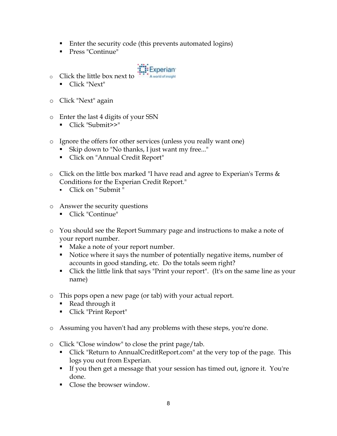- Enter the security code (this prevents automated logins)
- Press "Continue"



- o Click the little box next to
	- Click "Next"
- o Click "Next" again
- o Enter the last 4 digits of your SSN
	- Click "Submit>>"
- o Ignore the offers for other services (unless you really want one)
	- Skip down to "No thanks, I just want my free..."
	- Click on "Annual Credit Report"
- o Click on the little box marked "I have read and agree to Experian's Terms & Conditions for the Experian Credit Report."
	- Click on " Submit "
- o Answer the security questions
	- Click "Continue"
- o You should see the Report Summary page and instructions to make a note of your report number.
	- Make a note of your report number.
	- Notice where it says the number of potentially negative items, number of accounts in good standing, etc. Do the totals seem right?
	- Click the little link that says "Print your report". (It's on the same line as your name)
- o This pops open a new page (or tab) with your actual report.
	- Read through it
	- Click "Print Report"
- o Assuming you haven't had any problems with these steps, you're done.
- o Click "Close window" to close the print page/tab.
	- Click "Return to AnnualCreditReport.com" at the very top of the page. This logs you out from Experian.
	- If you then get a message that your session has timed out, ignore it. You're done.
	- Close the browser window.